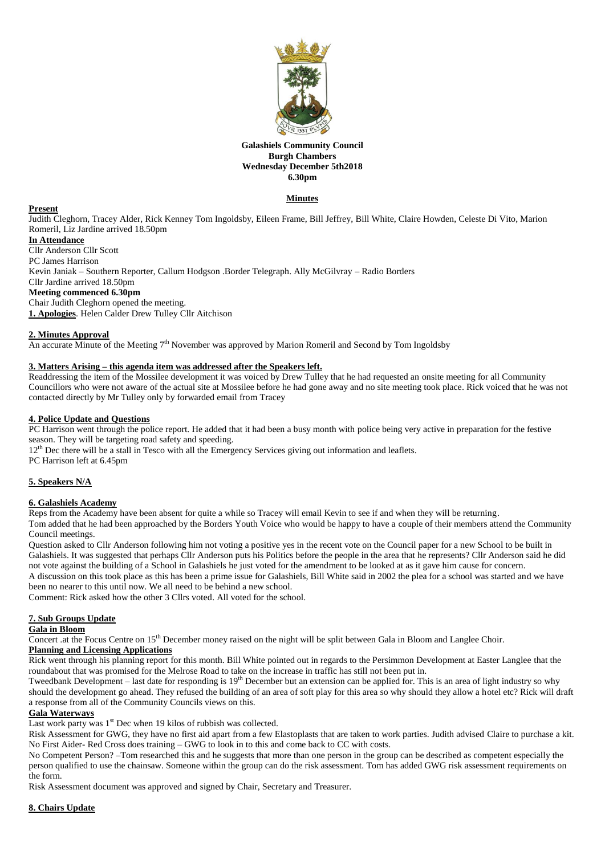

### **Galashiels Community Council Burgh Chambers Wednesday December 5th2018 6.30pm**

# **Minutes**

### **Present**

Judith Cleghorn, Tracey Alder, Rick Kenney Tom Ingoldsby, Eileen Frame, Bill Jeffrey, Bill White, Claire Howden, Celeste Di Vito, Marion Romeril, Liz Jardine arrived 18.50pm

# **In Attendance**

Cllr Anderson Cllr Scott PC James Harrison Kevin Janiak – Southern Reporter, Callum Hodgson .Border Telegraph. Ally McGilvray – Radio Borders Cllr Jardine arrived 18.50pm **Meeting commenced 6.30pm** Chair Judith Cleghorn opened the meeting. **1. Apologies**. Helen Calder Drew Tulley Cllr Aitchison

### **2. Minutes Approval**

An accurate Minute of the Meeting 7<sup>th</sup> November was approved by Marion Romeril and Second by Tom Ingoldsby

### **3. Matters Arising – this agenda item was addressed after the Speakers left.**

Readdressing the item of the Mossilee development it was voiced by Drew Tulley that he had requested an onsite meeting for all Community Councillors who were not aware of the actual site at Mossilee before he had gone away and no site meeting took place. Rick voiced that he was not contacted directly by Mr Tulley only by forwarded email from Tracey

### **4. Police Update and Questions**

PC Harrison went through the police report. He added that it had been a busy month with police being very active in preparation for the festive season. They will be targeting road safety and speeding.

12<sup>th</sup> Dec there will be a stall in Tesco with all the Emergency Services giving out information and leaflets.

PC Harrison left at 6.45pm

# **5. Speakers N/A**

#### **6. Galashiels Academy**

Reps from the Academy have been absent for quite a while so Tracey will email Kevin to see if and when they will be returning.

Tom added that he had been approached by the Borders Youth Voice who would be happy to have a couple of their members attend the Community Council meetings.

Question asked to Cllr Anderson following him not voting a positive yes in the recent vote on the Council paper for a new School to be built in Galashiels. It was suggested that perhaps Cllr Anderson puts his Politics before the people in the area that he represents? Cllr Anderson said he did not vote against the building of a School in Galashiels he just voted for the amendment to be looked at as it gave him cause for concern. A discussion on this took place as this has been a prime issue for Galashiels, Bill White said in 2002 the plea for a school was started and we have been no nearer to this until now. We all need to be behind a new school.

Comment: Rick asked how the other 3 Cllrs voted. All voted for the school.

# **7. Sub Groups Update**

### **Gala in Bloom**

Concert .at the Focus Centre on 15th December money raised on the night will be split between Gala in Bloom and Langlee Choir.

# **Planning and Licensing Applications**

Rick went through his planning report for this month. Bill White pointed out in regards to the Persimmon Development at Easter Langlee that the roundabout that was promised for the Melrose Road to take on the increase in traffic has still not been put in.

Tweedbank Development – last date for responding is 19<sup>th</sup> December but an extension can be applied for. This is an area of light industry so why should the development go ahead. They refused the building of an area of soft play for this area so why should they allow a hotel etc? Rick will draft a response from all of the Community Councils views on this.

### **Gala Waterways**

Last work party was  $1<sup>st</sup>$  Dec when 19 kilos of rubbish was collected.

Risk Assessment for GWG, they have no first aid apart from a few Elastoplasts that are taken to work parties. Judith advised Claire to purchase a kit. No First Aider- Red Cross does training – GWG to look in to this and come back to CC with costs.

No Competent Person? –Tom researched this and he suggests that more than one person in the group can be described as competent especially the person qualified to use the chainsaw. Someone within the group can do the risk assessment. Tom has added GWG risk assessment requirements on the form.

Risk Assessment document was approved and signed by Chair, Secretary and Treasurer.

# **8. Chairs Update**